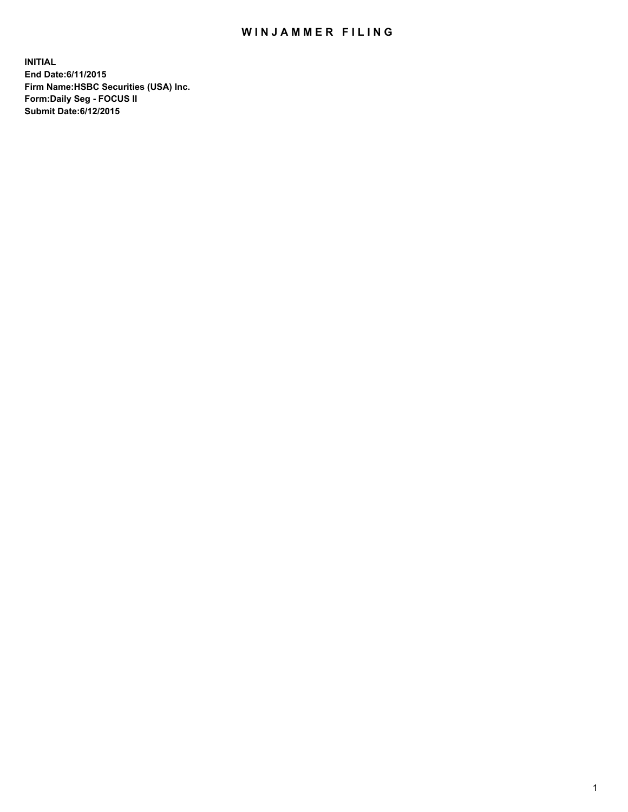## WIN JAMMER FILING

**INITIAL End Date:6/11/2015 Firm Name:HSBC Securities (USA) Inc. Form:Daily Seg - FOCUS II Submit Date:6/12/2015**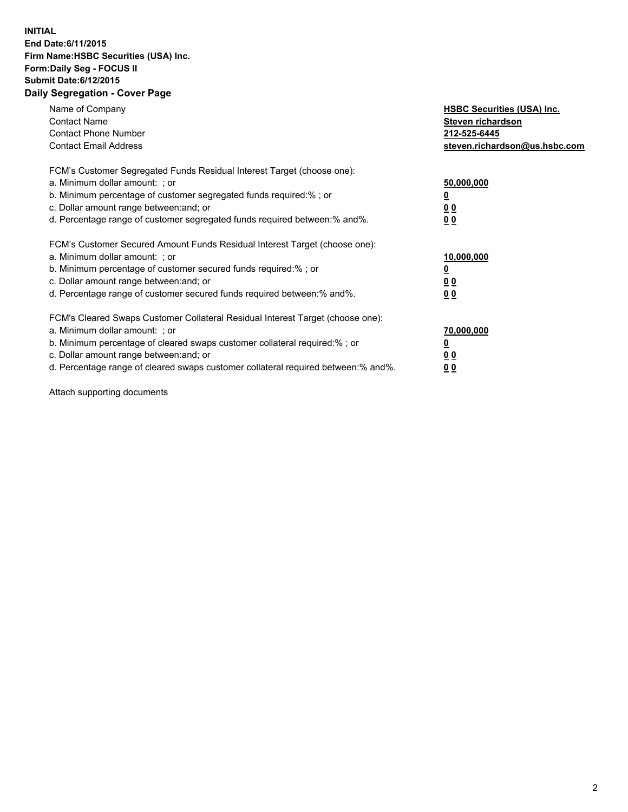## **INITIAL End Date:6/11/2015 Firm Name:HSBC Securities (USA) Inc. Form:Daily Seg - FOCUS II Submit Date:6/12/2015 Daily Segregation - Cover Page**

| Name of Company<br><b>Contact Name</b><br><b>Contact Phone Number</b><br><b>Contact Email Address</b>                                                                                                                                                                                                                          | <b>HSBC Securities (USA) Inc.</b><br>Steven richardson<br>212-525-6445<br>steven.richardson@us.hsbc.com |
|--------------------------------------------------------------------------------------------------------------------------------------------------------------------------------------------------------------------------------------------------------------------------------------------------------------------------------|---------------------------------------------------------------------------------------------------------|
| FCM's Customer Segregated Funds Residual Interest Target (choose one):<br>a. Minimum dollar amount: ; or<br>b. Minimum percentage of customer segregated funds required:%; or<br>c. Dollar amount range between: and; or<br>d. Percentage range of customer segregated funds required between: % and %.                        | 50,000,000<br>0 <sub>0</sub><br>0 <sub>0</sub>                                                          |
| FCM's Customer Secured Amount Funds Residual Interest Target (choose one):<br>a. Minimum dollar amount: ; or<br>b. Minimum percentage of customer secured funds required:%; or<br>c. Dollar amount range between: and; or<br>d. Percentage range of customer secured funds required between:% and%.                            | 10,000,000<br><u>0</u><br>0 <sub>0</sub><br>0 <sub>0</sub>                                              |
| FCM's Cleared Swaps Customer Collateral Residual Interest Target (choose one):<br>a. Minimum dollar amount: ; or<br>b. Minimum percentage of cleared swaps customer collateral required:% ; or<br>c. Dollar amount range between: and; or<br>d. Percentage range of cleared swaps customer collateral required between:% and%. | 70,000,000<br>00<br><u>00</u>                                                                           |

Attach supporting documents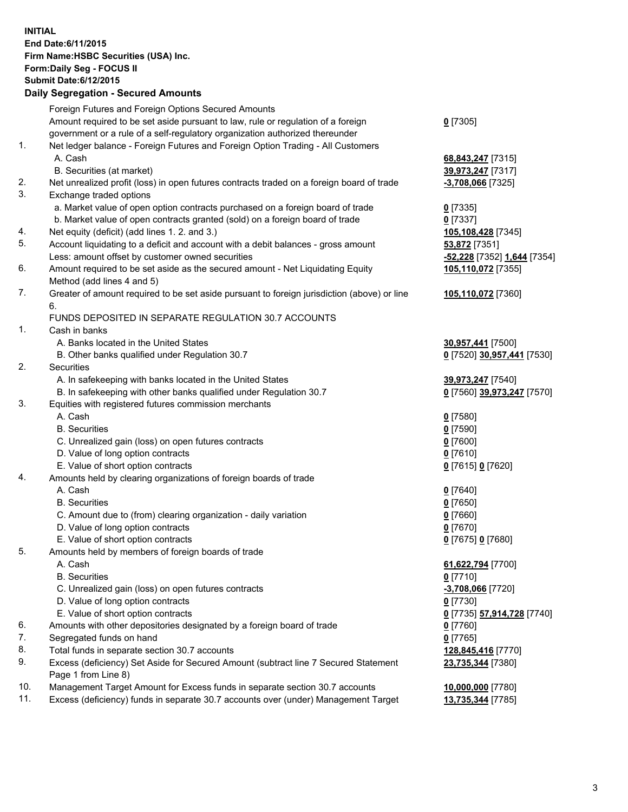**INITIAL End Date:6/11/2015 Firm Name:HSBC Securities (USA) Inc. Form:Daily Seg - FOCUS II Submit Date:6/12/2015 Daily Segregation - Secured Amounts**

|          | Foreign Futures and Foreign Options Secured Amounts                                                        |                                        |
|----------|------------------------------------------------------------------------------------------------------------|----------------------------------------|
|          | Amount required to be set aside pursuant to law, rule or regulation of a foreign                           | $0$ [7305]                             |
|          | government or a rule of a self-regulatory organization authorized thereunder                               |                                        |
| 1.       | Net ledger balance - Foreign Futures and Foreign Option Trading - All Customers                            |                                        |
|          | A. Cash                                                                                                    | 68,843,247 [7315]                      |
|          | B. Securities (at market)                                                                                  | 39,973,247 [7317]                      |
| 2.       | Net unrealized profit (loss) in open futures contracts traded on a foreign board of trade                  | $-3,708,066$ [7325]                    |
| 3.       | Exchange traded options                                                                                    |                                        |
|          | a. Market value of open option contracts purchased on a foreign board of trade                             | $0$ [7335]                             |
|          | b. Market value of open contracts granted (sold) on a foreign board of trade                               | $0$ [7337]                             |
| 4.       | Net equity (deficit) (add lines 1.2. and 3.)                                                               | 105,108,428 [7345]                     |
| 5.       | Account liquidating to a deficit and account with a debit balances - gross amount                          | 53,872 [7351]                          |
|          | Less: amount offset by customer owned securities                                                           | -52,228 [7352] 1,644 [7354]            |
| 6.       | Amount required to be set aside as the secured amount - Net Liquidating Equity                             | 105,110,072 [7355]                     |
|          | Method (add lines 4 and 5)                                                                                 |                                        |
| 7.       | Greater of amount required to be set aside pursuant to foreign jurisdiction (above) or line                | 105,110,072 [7360]                     |
|          | 6.                                                                                                         |                                        |
|          | FUNDS DEPOSITED IN SEPARATE REGULATION 30.7 ACCOUNTS                                                       |                                        |
| 1.       | Cash in banks                                                                                              |                                        |
|          | A. Banks located in the United States                                                                      | 30,957,441 [7500]                      |
|          | B. Other banks qualified under Regulation 30.7                                                             | 0 [7520] 30,957,441 [7530]             |
| 2.       | Securities                                                                                                 |                                        |
|          | A. In safekeeping with banks located in the United States                                                  | 39,973,247 [7540]                      |
|          | B. In safekeeping with other banks qualified under Regulation 30.7                                         | 0 [7560] 39,973,247 [7570]             |
| 3.       | Equities with registered futures commission merchants                                                      |                                        |
|          | A. Cash                                                                                                    | $0$ [7580]                             |
|          | <b>B.</b> Securities                                                                                       | $0$ [7590]                             |
|          | C. Unrealized gain (loss) on open futures contracts                                                        | $0$ [7600]                             |
|          | D. Value of long option contracts                                                                          | $0$ [7610]                             |
|          | E. Value of short option contracts                                                                         | 0 [7615] 0 [7620]                      |
| 4.       | Amounts held by clearing organizations of foreign boards of trade                                          |                                        |
|          | A. Cash                                                                                                    | $Q$ [7640]                             |
|          | <b>B.</b> Securities                                                                                       | $0$ [7650]                             |
|          | C. Amount due to (from) clearing organization - daily variation                                            | $0$ [7660]                             |
|          | D. Value of long option contracts                                                                          | $0$ [7670]                             |
|          | E. Value of short option contracts                                                                         | 0 [7675] 0 [7680]                      |
| 5.       | Amounts held by members of foreign boards of trade                                                         |                                        |
|          | A. Cash                                                                                                    | 61,622,794 [7700]                      |
|          | <b>B.</b> Securities                                                                                       | $0$ [7710]                             |
|          | C. Unrealized gain (loss) on open futures contracts                                                        | -3,708,066 [7720]                      |
|          | D. Value of long option contracts                                                                          | $0$ [7730]                             |
|          | E. Value of short option contracts                                                                         | 0 [7735] 57,914,728 [7740]             |
| 6.<br>7. | Amounts with other depositories designated by a foreign board of trade                                     | $0$ [7760]                             |
| 8.       | Segregated funds on hand<br>Total funds in separate section 30.7 accounts                                  | $0$ [7765]                             |
| 9.       |                                                                                                            | 128,845,416 [7770]                     |
|          | Excess (deficiency) Set Aside for Secured Amount (subtract line 7 Secured Statement<br>Page 1 from Line 8) | 23,735,344 [7380]                      |
| 10.      | Management Target Amount for Excess funds in separate section 30.7 accounts                                |                                        |
| 11.      | Excess (deficiency) funds in separate 30.7 accounts over (under) Management Target                         | 10,000,000 [7780]<br>13,735,344 [7785] |
|          |                                                                                                            |                                        |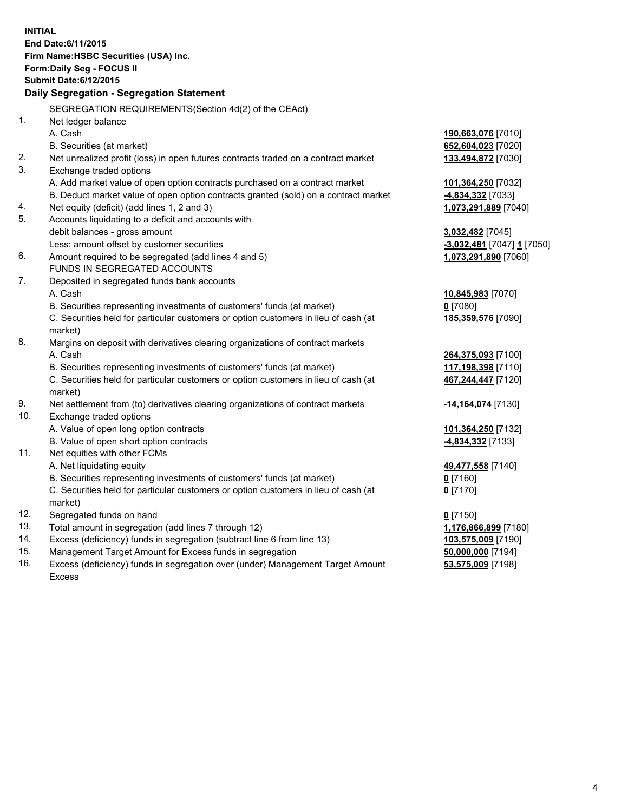| <b>INITIAL</b> | End Date: 6/11/2015<br>Firm Name: HSBC Securities (USA) Inc.                                   |                                          |
|----------------|------------------------------------------------------------------------------------------------|------------------------------------------|
|                | Form: Daily Seg - FOCUS II                                                                     |                                          |
|                | <b>Submit Date:6/12/2015</b>                                                                   |                                          |
|                | Daily Segregation - Segregation Statement                                                      |                                          |
|                | SEGREGATION REQUIREMENTS(Section 4d(2) of the CEAct)                                           |                                          |
| 1.             | Net ledger balance                                                                             |                                          |
|                | A. Cash                                                                                        |                                          |
|                | B. Securities (at market)                                                                      | 190,663,076 [7010]<br>652,604,023 [7020] |
| 2.             | Net unrealized profit (loss) in open futures contracts traded on a contract market             | 133,494,872 [7030]                       |
| 3.             | Exchange traded options                                                                        |                                          |
|                | A. Add market value of open option contracts purchased on a contract market                    | 101,364,250 [7032]                       |
|                | B. Deduct market value of open option contracts granted (sold) on a contract market            | <b>4,834,332</b> [7033]                  |
| 4.             | Net equity (deficit) (add lines 1, 2 and 3)                                                    | 1,073,291,889 [7040]                     |
| 5.             | Accounts liquidating to a deficit and accounts with                                            |                                          |
|                | debit balances - gross amount                                                                  | 3,032,482 [7045]                         |
|                | Less: amount offset by customer securities                                                     | -3,032,481 [7047] 1 [7050]               |
| 6.             | Amount required to be segregated (add lines 4 and 5)                                           | 1,073,291,890 [7060]                     |
|                | FUNDS IN SEGREGATED ACCOUNTS                                                                   |                                          |
| 7.             | Deposited in segregated funds bank accounts                                                    |                                          |
|                | A. Cash                                                                                        | 10,845,983 [7070]                        |
|                | B. Securities representing investments of customers' funds (at market)                         | $0$ [7080]                               |
|                | C. Securities held for particular customers or option customers in lieu of cash (at            | 185,359,576 [7090]                       |
|                | market)                                                                                        |                                          |
| 8.             | Margins on deposit with derivatives clearing organizations of contract markets                 |                                          |
|                | A. Cash                                                                                        | 264,375,093 [7100]                       |
|                | B. Securities representing investments of customers' funds (at market)                         | 117,198,398 [7110]                       |
|                | C. Securities held for particular customers or option customers in lieu of cash (at            | 467,244,447 [7120]                       |
|                | market)                                                                                        |                                          |
| 9.             | Net settlement from (to) derivatives clearing organizations of contract markets                | -14,164,074 [7130]                       |
| 10.            | Exchange traded options                                                                        |                                          |
|                | A. Value of open long option contracts                                                         | 101,364,250 [7132]                       |
|                | B. Value of open short option contracts                                                        | 4,834,332 [7133]                         |
| 11.            | Net equities with other FCMs                                                                   |                                          |
|                | A. Net liquidating equity                                                                      | 49,477,558 [7140]                        |
|                | B. Securities representing investments of customers' funds (at market)                         | $0$ [7160]                               |
|                | C. Securities held for particular customers or option customers in lieu of cash (at<br>market) | $0$ [7170]                               |
| 12.            | Segregated funds on hand                                                                       | $0$ [7150]                               |
| 13.            | Total amount in segregation (add lines 7 through 12)                                           | 1,176,866,899 [7180]                     |
| 14.            | Excess (deficiency) funds in segregation (subtract line 6 from line 13)                        | 103,575,009 [7190]                       |
| 15.            | Management Target Amount for Excess funds in segregation                                       | 50,000,000 [7194]                        |
| 16.            | Excess (deficiency) funds in segregation over (under) Management Target Amount                 | 53,575,009 [7198]                        |
|                | <b>Excess</b>                                                                                  |                                          |